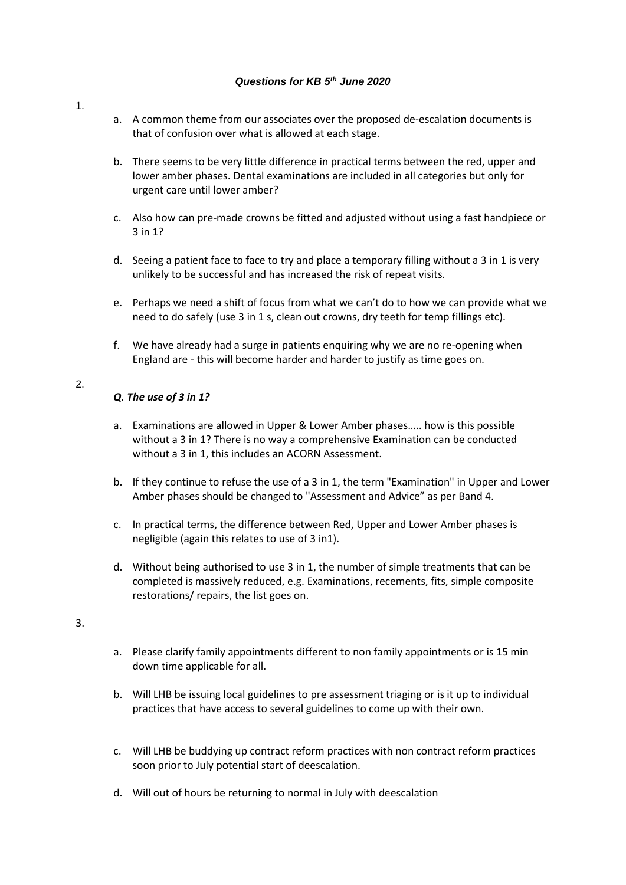## *Questions for KB 5th June 2020*

- 1.
- a. A common theme from our associates over the proposed de-escalation documents is that of confusion over what is allowed at each stage.
- b. There seems to be very little difference in practical terms between the red, upper and lower amber phases. Dental examinations are included in all categories but only for urgent care until lower amber?
- c. Also how can pre-made crowns be fitted and adjusted without using a fast handpiece or 3 in 1?
- d. Seeing a patient face to face to try and place a temporary filling without a 3 in 1 is very unlikely to be successful and has increased the risk of repeat visits.
- e. Perhaps we need a shift of focus from what we can't do to how we can provide what we need to do safely (use 3 in 1 s, clean out crowns, dry teeth for temp fillings etc).
- f. We have already had a surge in patients enquiring why we are no re-opening when England are - this will become harder and harder to justify as time goes on.

## 2.

## *Q. The use of 3 in 1?*

- a. Examinations are allowed in Upper & Lower Amber phases….. how is this possible without a 3 in 1? There is no way a comprehensive Examination can be conducted without a 3 in 1, this includes an ACORN Assessment.
- b. If they continue to refuse the use of a 3 in 1, the term "Examination" in Upper and Lower Amber phases should be changed to "Assessment and Advice" as per Band 4.
- c. In practical terms, the difference between Red, Upper and Lower Amber phases is negligible (again this relates to use of 3 in1).
- d. Without being authorised to use 3 in 1, the number of simple treatments that can be completed is massively reduced, e.g. Examinations, recements, fits, simple composite restorations/ repairs, the list goes on.

3.

- a. Please clarify family appointments different to non family appointments or is 15 min down time applicable for all.
- b. Will LHB be issuing local guidelines to pre assessment triaging or is it up to individual practices that have access to several guidelines to come up with their own.
- c. Will LHB be buddying up contract reform practices with non contract reform practices soon prior to July potential start of deescalation.
- d. Will out of hours be returning to normal in July with deescalation